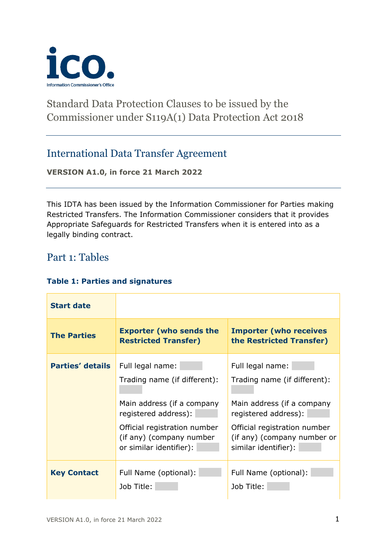

# Standard Data Protection Clauses to be issued by the Commissioner under S119A(1) Data Protection Act 2018

# International Data Transfer Agreement

**VERSION A1.0, in force 21 March 2022**

This IDTA has been issued by the Information Commissioner for Parties making Restricted Transfers. The Information Commissioner considers that it provides Appropriate Safeguards for Restricted Transfers when it is entered into as a legally binding contract.

# Part 1: Tables

### **Table 1: Parties and signatures**

| <b>Start date</b>       |                                                                                     |                                                                                     |
|-------------------------|-------------------------------------------------------------------------------------|-------------------------------------------------------------------------------------|
| <b>The Parties</b>      | <b>Exporter (who sends the</b><br><b>Restricted Transfer)</b>                       | <b>Importer (who receives</b><br>the Restricted Transfer)                           |
| <b>Parties' details</b> | Full legal name:<br>Trading name (if different):                                    | Full legal name:<br>Trading name (if different):                                    |
|                         | Main address (if a company<br>registered address):                                  | Main address (if a company<br>registered address):                                  |
|                         | Official registration number<br>(if any) (company number<br>or similar identifier): | Official registration number<br>(if any) (company number or<br>similar identifier): |
| <b>Key Contact</b>      | Full Name (optional):<br>Job Title:                                                 | Full Name (optional):<br>Job Title:                                                 |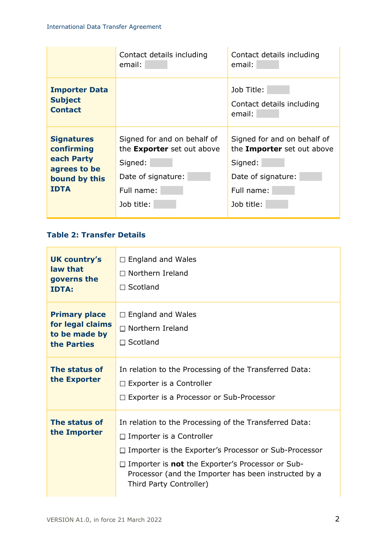|                                                                                               | Contact details including<br>email:                                                                                           | Contact details including<br>email:                                                                                    |
|-----------------------------------------------------------------------------------------------|-------------------------------------------------------------------------------------------------------------------------------|------------------------------------------------------------------------------------------------------------------------|
| <b>Importer Data</b><br><b>Subject</b><br><b>Contact</b>                                      |                                                                                                                               | Job Title:<br>Contact details including<br>email:                                                                      |
| <b>Signatures</b><br>confirming<br>each Party<br>agrees to be<br>bound by this<br><b>IDTA</b> | Signed for and on behalf of<br>the <b>Exporter</b> set out above<br>Signed:<br>Date of signature:<br>Full name:<br>Job title: | Signed for and on behalf of<br>the Importer set out above<br>Signed:<br>Date of signature:<br>Full name:<br>Job title: |

## **Table 2: Transfer Details**

| <b>UK country's</b><br>law that<br>governs the<br><b>IDTA:</b>           | $\Box$ England and Wales<br>$\Box$ Northern Ireland<br>$\Box$ Scotland                                                                                                                                                                                                                                         |
|--------------------------------------------------------------------------|----------------------------------------------------------------------------------------------------------------------------------------------------------------------------------------------------------------------------------------------------------------------------------------------------------------|
| <b>Primary place</b><br>for legal claims<br>to be made by<br>the Parties | $\Box$ England and Wales<br>$\Box$ Northern Ireland<br>$\Box$ Scotland                                                                                                                                                                                                                                         |
| The status of<br>the Exporter                                            | In relation to the Processing of the Transferred Data:<br>$\Box$ Exporter is a Controller<br>$\Box$ Exporter is a Processor or Sub-Processor                                                                                                                                                                   |
| The status of<br>the Importer                                            | In relation to the Processing of the Transferred Data:<br>$\Box$ Importer is a Controller<br>$\Box$ Importer is the Exporter's Processor or Sub-Processor<br>$\Box$ Importer is <b>not</b> the Exporter's Processor or Sub-<br>Processor (and the Importer has been instructed by a<br>Third Party Controller) |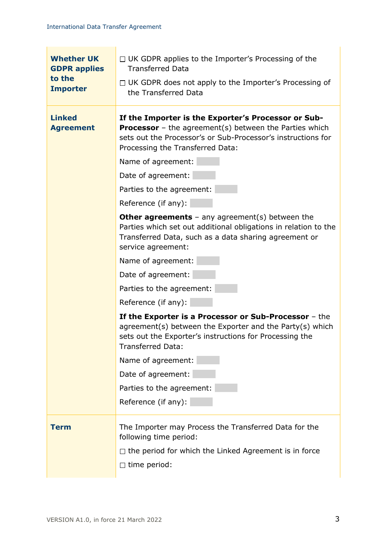| <b>Whether UK</b><br><b>GDPR applies</b><br>to the<br><b>Importer</b> | $\Box$ UK GDPR applies to the Importer's Processing of the<br><b>Transferred Data</b><br>$\Box$ UK GDPR does not apply to the Importer's Processing of<br>the Transferred Data                                                                                                                                                                                                                                                                                                                                                                                                                                                                                                                                                                                                                                                                                                                                                                   |
|-----------------------------------------------------------------------|--------------------------------------------------------------------------------------------------------------------------------------------------------------------------------------------------------------------------------------------------------------------------------------------------------------------------------------------------------------------------------------------------------------------------------------------------------------------------------------------------------------------------------------------------------------------------------------------------------------------------------------------------------------------------------------------------------------------------------------------------------------------------------------------------------------------------------------------------------------------------------------------------------------------------------------------------|
| <b>Linked</b><br><b>Agreement</b>                                     | If the Importer is the Exporter's Processor or Sub-<br><b>Processor</b> – the agreement(s) between the Parties which<br>sets out the Processor's or Sub-Processor's instructions for<br>Processing the Transferred Data:<br>Name of agreement:<br>Date of agreement:<br>Parties to the agreement:<br>Reference (if any):<br><b>Other agreements</b> – any agreement(s) between the<br>Parties which set out additional obligations in relation to the<br>Transferred Data, such as a data sharing agreement or<br>service agreement:<br>Name of agreement:<br>Date of agreement:<br>Parties to the agreement:<br>Reference (if any):<br>If the Exporter is a Processor or Sub-Processor - the<br>agreement(s) between the Exporter and the Party(s) which<br>sets out the Exporter's instructions for Processing the<br><b>Transferred Data:</b><br>Name of agreement:<br>Date of agreement:<br>Parties to the agreement:<br>Reference (if any): |
| Term                                                                  | The Importer may Process the Transferred Data for the<br>following time period:<br>$\Box$ the period for which the Linked Agreement is in force<br>$\Box$ time period:                                                                                                                                                                                                                                                                                                                                                                                                                                                                                                                                                                                                                                                                                                                                                                           |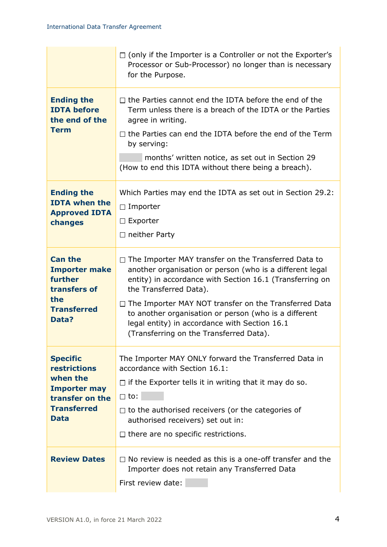|                                                                   | $\Box$ (only if the Importer is a Controller or not the Exporter's<br>Processor or Sub-Processor) no longer than is necessary<br>for the Purpose.                                                             |
|-------------------------------------------------------------------|---------------------------------------------------------------------------------------------------------------------------------------------------------------------------------------------------------------|
| <b>Ending the</b><br><b>IDTA before</b><br>the end of the         | $\Box$ the Parties cannot end the IDTA before the end of the<br>Term unless there is a breach of the IDTA or the Parties<br>agree in writing.                                                                 |
| <b>Term</b>                                                       | $\Box$ the Parties can end the IDTA before the end of the Term<br>by serving:                                                                                                                                 |
|                                                                   | months' written notice, as set out in Section 29<br>(How to end this IDTA without there being a breach).                                                                                                      |
| <b>Ending the</b><br><b>IDTA when the</b>                         | Which Parties may end the IDTA as set out in Section 29.2:                                                                                                                                                    |
| <b>Approved IDTA</b>                                              | $\Box$ Importer                                                                                                                                                                                               |
| changes                                                           | $\Box$ Exporter                                                                                                                                                                                               |
|                                                                   | $\Box$ neither Party                                                                                                                                                                                          |
| <b>Can the</b><br><b>Importer make</b><br>further<br>transfers of | $\Box$ The Importer MAY transfer on the Transferred Data to<br>another organisation or person (who is a different legal<br>entity) in accordance with Section 16.1 (Transferring on<br>the Transferred Data). |
| the<br><b>Transferred</b><br>Data?                                | □ The Importer MAY NOT transfer on the Transferred Data<br>to another organisation or person (who is a different<br>legal entity) in accordance with Section 16.1<br>(Transferring on the Transferred Data).  |
| <b>Specific</b><br><b>restrictions</b>                            | The Importer MAY ONLY forward the Transferred Data in<br>accordance with Section 16.1:                                                                                                                        |
| when the<br><b>Importer may</b>                                   | $\Box$ if the Exporter tells it in writing that it may do so.                                                                                                                                                 |
| transfer on the                                                   | $\Box$ to:                                                                                                                                                                                                    |
| <b>Transferred</b><br><b>Data</b>                                 | $\Box$ to the authorised receivers (or the categories of<br>authorised receivers) set out in:                                                                                                                 |
|                                                                   | $\Box$ there are no specific restrictions.                                                                                                                                                                    |
| <b>Review Dates</b>                                               | $\Box$ No review is needed as this is a one-off transfer and the<br>Importer does not retain any Transferred Data<br>First review date:                                                                       |
|                                                                   |                                                                                                                                                                                                               |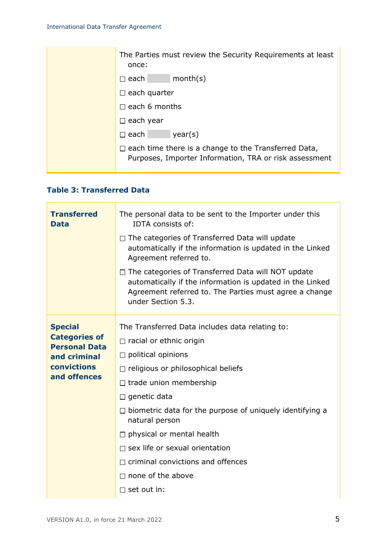| The Parties must review the Security Requirements at least<br>once:                                                   |
|-----------------------------------------------------------------------------------------------------------------------|
| month(s)<br>$\square$ each $\square$                                                                                  |
| $\Box$ each quarter                                                                                                   |
| $\Box$ each 6 months                                                                                                  |
| $\Box$ each year                                                                                                      |
| $\Box$ each<br>year(s)                                                                                                |
| $\Box$ each time there is a change to the Transferred Data,<br>Purposes, Importer Information, TRA or risk assessment |

## **Table 3: Transferred Data**

 $\overline{a}$ 

| <b>Transferred</b><br><b>Data</b>                                                                             | The personal data to be sent to the Importer under this<br>IDTA consists of:<br>$\Box$ The categories of Transferred Data will update<br>automatically if the information is updated in the Linked<br>Agreement referred to.<br>□ The categories of Transferred Data will NOT update<br>automatically if the information is updated in the Linked<br>Agreement referred to. The Parties must agree a change<br>under Section 5.3.                                                   |
|---------------------------------------------------------------------------------------------------------------|-------------------------------------------------------------------------------------------------------------------------------------------------------------------------------------------------------------------------------------------------------------------------------------------------------------------------------------------------------------------------------------------------------------------------------------------------------------------------------------|
| <b>Special</b><br><b>Categories of</b><br><b>Personal Data</b><br>and criminal<br>convictions<br>and offences | The Transferred Data includes data relating to:<br>$\Box$ racial or ethnic origin<br>$\Box$ political opinions<br>$\Box$ religious or philosophical beliefs<br>$\Box$ trade union membership<br>$\Box$ genetic data<br>$\Box$ biometric data for the purpose of uniquely identifying a<br>natural person<br>$\Box$ physical or mental health<br>$\Box$ sex life or sexual orientation<br>$\Box$ criminal convictions and offences<br>$\Box$ none of the above<br>$\Box$ set out in: |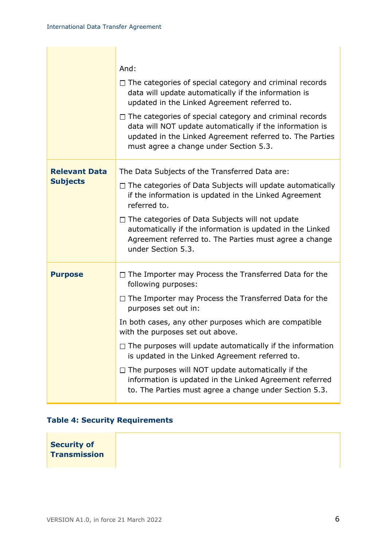|                                         | And:<br>$\Box$ The categories of special category and criminal records<br>data will update automatically if the information is                                                                                                                                                                                                                                                                                                                                                                                                                                                    |
|-----------------------------------------|-----------------------------------------------------------------------------------------------------------------------------------------------------------------------------------------------------------------------------------------------------------------------------------------------------------------------------------------------------------------------------------------------------------------------------------------------------------------------------------------------------------------------------------------------------------------------------------|
|                                         | updated in the Linked Agreement referred to.<br>$\Box$ The categories of special category and criminal records<br>data will NOT update automatically if the information is<br>updated in the Linked Agreement referred to. The Parties<br>must agree a change under Section 5.3.                                                                                                                                                                                                                                                                                                  |
| <b>Relevant Data</b><br><b>Subjects</b> | The Data Subjects of the Transferred Data are:<br>$\Box$ The categories of Data Subjects will update automatically<br>if the information is updated in the Linked Agreement<br>referred to.<br>$\Box$ The categories of Data Subjects will not update<br>automatically if the information is updated in the Linked<br>Agreement referred to. The Parties must agree a change<br>under Section 5.3.                                                                                                                                                                                |
| <b>Purpose</b>                          | $\Box$ The Importer may Process the Transferred Data for the<br>following purposes:<br>$\Box$ The Importer may Process the Transferred Data for the<br>purposes set out in:<br>In both cases, any other purposes which are compatible<br>with the purposes set out above.<br>$\Box$ The purposes will update automatically if the information<br>is updated in the Linked Agreement referred to.<br>$\Box$ The purposes will NOT update automatically if the<br>information is updated in the Linked Agreement referred<br>to. The Parties must agree a change under Section 5.3. |

# **Table 4: Security Requirements**

**Security of Transmission**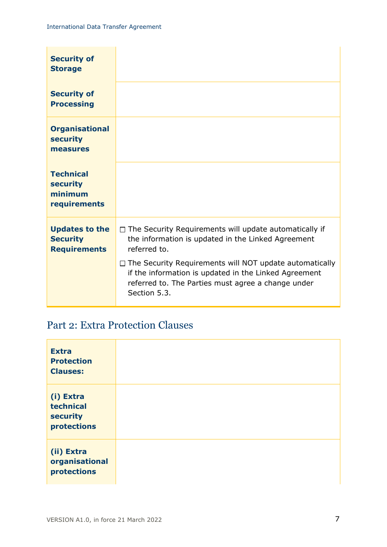| <b>Security of</b><br><b>Storage</b>                            |                                                                                                                                                                                                                                                                                                                                      |
|-----------------------------------------------------------------|--------------------------------------------------------------------------------------------------------------------------------------------------------------------------------------------------------------------------------------------------------------------------------------------------------------------------------------|
| <b>Security of</b><br><b>Processing</b>                         |                                                                                                                                                                                                                                                                                                                                      |
| <b>Organisational</b><br><b>security</b><br>measures            |                                                                                                                                                                                                                                                                                                                                      |
| <b>Technical</b><br><b>security</b><br>minimum<br>requirements  |                                                                                                                                                                                                                                                                                                                                      |
| <b>Updates to the</b><br><b>Security</b><br><b>Requirements</b> | $\Box$ The Security Requirements will update automatically if<br>the information is updated in the Linked Agreement<br>referred to.<br>$\Box$ The Security Requirements will NOT update automatically<br>if the information is updated in the Linked Agreement<br>referred to. The Parties must agree a change under<br>Section 5.3. |

# Part 2: Extra Protection Clauses

| <b>Extra</b><br><b>Protection</b><br><b>Clauses:</b>            |  |
|-----------------------------------------------------------------|--|
| (i) Extra<br>technical<br><b>security</b><br><b>protections</b> |  |
| (ii) Extra<br>organisational<br><b>protections</b>              |  |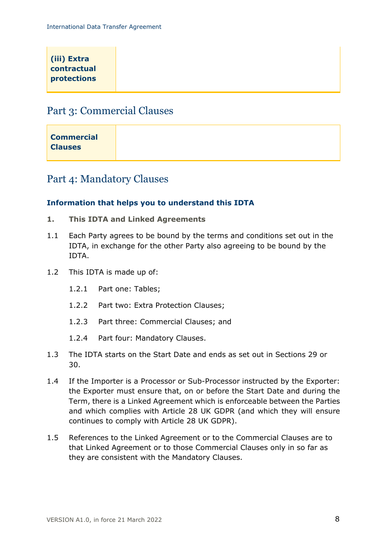| (iii) Extra<br>contractual |  |  |
|----------------------------|--|--|
| <b>protections</b>         |  |  |
|                            |  |  |

# Part 3: Commercial Clauses

| <b>Commercial</b> |  |
|-------------------|--|
|                   |  |
| <b>Clauses</b>    |  |
|                   |  |
|                   |  |

# Part 4: Mandatory Clauses

### **Information that helps you to understand this IDTA**

- <span id="page-7-0"></span>**1. This IDTA and Linked Agreements**
- 1.1 Each Party agrees to be bound by the terms and conditions set out in the IDTA, in exchange for the other Party also agreeing to be bound by the IDTA.
- 1.2 This IDTA is made up of:
	- 1.2.1 Part one: Tables;
	- 1.2.2 Part two: Extra Protection Clauses;
	- 1.2.3 Part three: Commercial Clauses; and
	- 1.2.4 Part four: Mandatory Clauses.
- 1.3 The IDTA starts on the Start Date and ends as set out in Sections [29](#page-25-0) or [30.](#page-26-0)
- 1.4 If the Importer is a Processor or Sub-Processor instructed by the Exporter: the Exporter must ensure that, on or before the Start Date and during the Term, there is a Linked Agreement which is enforceable between the Parties and which complies with Article 28 UK GDPR (and which they will ensure continues to comply with Article 28 UK GDPR).
- 1.5 References to the Linked Agreement or to the Commercial Clauses are to that Linked Agreement or to those Commercial Clauses only in so far as they are consistent with the Mandatory Clauses.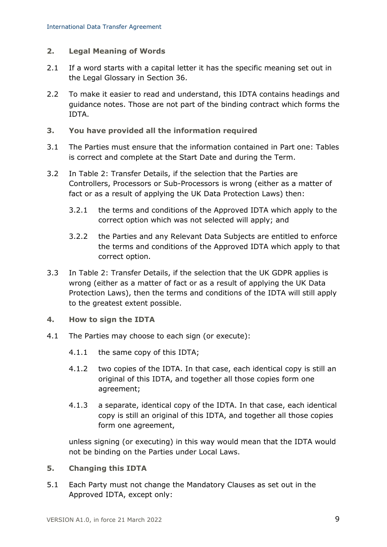### <span id="page-8-1"></span>**2. Legal Meaning of Words**

- 2.1 If a word starts with a capital letter it has the specific meaning set out in the Legal Glossary in Section [36.](#page-31-0)
- 2.2 To make it easier to read and understand, this IDTA contains headings and guidance notes. Those are not part of the binding contract which forms the IDTA.
- <span id="page-8-2"></span>**3. You have provided all the information required**
- 3.1 The Parties must ensure that the information contained in Part one: Tables is correct and complete at the Start Date and during the Term.
- 3.2 In Table 2: Transfer Details, if the selection that the Parties are Controllers, Processors or Sub-Processors is wrong (either as a matter of fact or as a result of applying the UK Data Protection Laws) then:
	- 3.2.1 the terms and conditions of the Approved IDTA which apply to the correct option which was not selected will apply; and
	- 3.2.2 the Parties and any Relevant Data Subjects are entitled to enforce the terms and conditions of the Approved IDTA which apply to that correct option.
- 3.3 In Table 2: Transfer Details, if the selection that the UK GDPR applies is wrong (either as a matter of fact or as a result of applying the UK Data Protection Laws), then the terms and conditions of the IDTA will still apply to the greatest extent possible.
- **4. How to sign the IDTA**
- 4.1 The Parties may choose to each sign (or execute):
	- 4.1.1 the same copy of this IDTA;
	- 4.1.2 two copies of the IDTA. In that case, each identical copy is still an original of this IDTA, and together all those copies form one agreement;
	- 4.1.3 a separate, identical copy of the IDTA. In that case, each identical copy is still an original of this IDTA, and together all those copies form one agreement,

unless signing (or executing) in this way would mean that the IDTA would not be binding on the Parties under Local Laws.

- <span id="page-8-0"></span>**5. Changing this IDTA**
- 5.1 Each Party must not change the Mandatory Clauses as set out in the Approved IDTA, except only: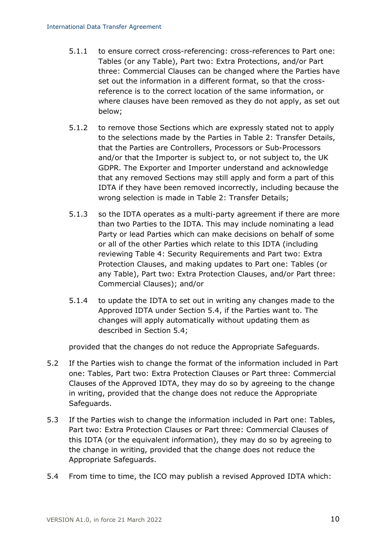- 5.1.1 to ensure correct cross-referencing: cross-references to Part one: Tables (or any Table), Part two: Extra Protections, and/or Part three: Commercial Clauses can be changed where the Parties have set out the information in a different format, so that the crossreference is to the correct location of the same information, or where clauses have been removed as they do not apply, as set out below;
- 5.1.2 to remove those Sections which are expressly stated not to apply to the selections made by the Parties in Table 2: Transfer Details, that the Parties are Controllers, Processors or Sub-Processors and/or that the Importer is subject to, or not subject to, the UK GDPR. The Exporter and Importer understand and acknowledge that any removed Sections may still apply and form a part of this IDTA if they have been removed incorrectly, including because the wrong selection is made in Table 2: Transfer Details;
- 5.1.3 so the IDTA operates as a multi-party agreement if there are more than two Parties to the IDTA. This may include nominating a lead Party or lead Parties which can make decisions on behalf of some or all of the other Parties which relate to this IDTA (including reviewing Table 4: Security Requirements and Part two: Extra Protection Clauses, and making updates to Part one: Tables (or any Table), Part two: Extra Protection Clauses, and/or Part three: Commercial Clauses); and/or
- 5.1.4 to update the IDTA to set out in writing any changes made to the Approved IDTA under Section [5.4,](#page-9-1) if the Parties want to. The changes will apply automatically without updating them as described in Section [5.4;](#page-9-1)

provided that the changes do not reduce the Appropriate Safeguards.

- 5.2 If the Parties wish to change the format of the information included in Part one: Tables, Part two: Extra Protection Clauses or Part three: Commercial Clauses of the Approved IDTA, they may do so by agreeing to the change in writing, provided that the change does not reduce the Appropriate Safeguards.
- <span id="page-9-0"></span>5.3 If the Parties wish to change the information included in Part one: Tables, Part two: Extra Protection Clauses or Part three: Commercial Clauses of this IDTA (or the equivalent information), they may do so by agreeing to the change in writing, provided that the change does not reduce the Appropriate Safeguards.
- <span id="page-9-1"></span>5.4 From time to time, the ICO may publish a revised Approved IDTA which: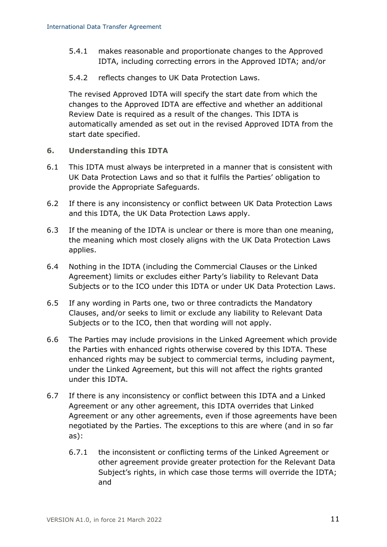- 5.4.1 makes reasonable and proportionate changes to the Approved IDTA, including correcting errors in the Approved IDTA; and/or
- 5.4.2 reflects changes to UK Data Protection Laws.

The revised Approved IDTA will specify the start date from which the changes to the Approved IDTA are effective and whether an additional Review Date is required as a result of the changes. This IDTA is automatically amended as set out in the revised Approved IDTA from the start date specified.

- <span id="page-10-0"></span>**6. Understanding this IDTA**
- 6.1 This IDTA must always be interpreted in a manner that is consistent with UK Data Protection Laws and so that it fulfils the Parties' obligation to provide the Appropriate Safeguards.
- 6.2 If there is any inconsistency or conflict between UK Data Protection Laws and this IDTA, the UK Data Protection Laws apply.
- 6.3 If the meaning of the IDTA is unclear or there is more than one meaning, the meaning which most closely aligns with the UK Data Protection Laws applies.
- 6.4 Nothing in the IDTA (including the Commercial Clauses or the Linked Agreement) limits or excludes either Party's liability to Relevant Data Subjects or to the ICO under this IDTA or under UK Data Protection Laws.
- 6.5 If any wording in Parts one, two or three contradicts the Mandatory Clauses, and/or seeks to limit or exclude any liability to Relevant Data Subjects or to the ICO, then that wording will not apply.
- 6.6 The Parties may include provisions in the Linked Agreement which provide the Parties with enhanced rights otherwise covered by this IDTA. These enhanced rights may be subject to commercial terms, including payment, under the Linked Agreement, but this will not affect the rights granted under this IDTA.
- 6.7 If there is any inconsistency or conflict between this IDTA and a Linked Agreement or any other agreement, this IDTA overrides that Linked Agreement or any other agreements, even if those agreements have been negotiated by the Parties. The exceptions to this are where (and in so far as):
	- 6.7.1 the inconsistent or conflicting terms of the Linked Agreement or other agreement provide greater protection for the Relevant Data Subject's rights, in which case those terms will override the IDTA; and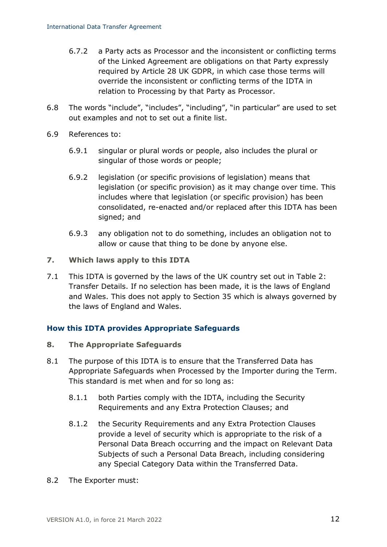- 6.7.2 a Party acts as Processor and the inconsistent or conflicting terms of the Linked Agreement are obligations on that Party expressly required by Article 28 UK GDPR, in which case those terms will override the inconsistent or conflicting terms of the IDTA in relation to Processing by that Party as Processor.
- 6.8 The words "include", "includes", "including", "in particular" are used to set out examples and not to set out a finite list.
- 6.9 References to:
	- 6.9.1 singular or plural words or people, also includes the plural or singular of those words or people;
	- 6.9.2 legislation (or specific provisions of legislation) means that legislation (or specific provision) as it may change over time. This includes where that legislation (or specific provision) has been consolidated, re-enacted and/or replaced after this IDTA has been signed; and
	- 6.9.3 any obligation not to do something, includes an obligation not to allow or cause that thing to be done by anyone else.
- <span id="page-11-0"></span>**7. Which laws apply to this IDTA**
- 7.1 This IDTA is governed by the laws of the UK country set out in Table 2: Transfer Details. If no selection has been made, it is the laws of England and Wales. This does not apply to Section [35](#page-30-0) which is always governed by the laws of England and Wales.

### **How this IDTA provides Appropriate Safeguards**

- <span id="page-11-1"></span>**8. The Appropriate Safeguards**
- 8.1 The purpose of this IDTA is to ensure that the Transferred Data has Appropriate Safeguards when Processed by the Importer during the Term. This standard is met when and for so long as:
	- 8.1.1 both Parties comply with the IDTA, including the Security Requirements and any Extra Protection Clauses; and
	- 8.1.2 the Security Requirements and any Extra Protection Clauses provide a level of security which is appropriate to the risk of a Personal Data Breach occurring and the impact on Relevant Data Subjects of such a Personal Data Breach, including considering any Special Category Data within the Transferred Data.
- 8.2 The Exporter must: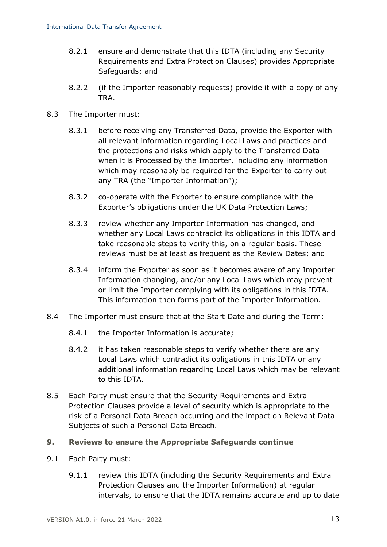- 8.2.1 ensure and demonstrate that this IDTA (including any Security Requirements and Extra Protection Clauses) provides Appropriate Safeguards; and
- 8.2.2 (if the Importer reasonably requests) provide it with a copy of any TRA.
- <span id="page-12-2"></span><span id="page-12-0"></span>8.3 The Importer must:
	- 8.3.1 before receiving any Transferred Data, provide the Exporter with all relevant information regarding Local Laws and practices and the protections and risks which apply to the Transferred Data when it is Processed by the Importer, including any information which may reasonably be required for the Exporter to carry out any TRA (the "Importer Information");
	- 8.3.2 co-operate with the Exporter to ensure compliance with the Exporter's obligations under the UK Data Protection Laws;
	- 8.3.3 review whether any Importer Information has changed, and whether any Local Laws contradict its obligations in this IDTA and take reasonable steps to verify this, on a regular basis. These reviews must be at least as frequent as the Review Dates; and
	- 8.3.4 inform the Exporter as soon as it becomes aware of any Importer Information changing, and/or any Local Laws which may prevent or limit the Importer complying with its obligations in this IDTA. This information then forms part of the Importer Information.
- 8.4 The Importer must ensure that at the Start Date and during the Term:
	- 8.4.1 the Importer Information is accurate;
	- 8.4.2 it has taken reasonable steps to verify whether there are any Local Laws which contradict its obligations in this IDTA or any additional information regarding Local Laws which may be relevant to this IDTA.
- 8.5 Each Party must ensure that the Security Requirements and Extra Protection Clauses provide a level of security which is appropriate to the risk of a Personal Data Breach occurring and the impact on Relevant Data Subjects of such a Personal Data Breach.
- <span id="page-12-1"></span>**9. Reviews to ensure the Appropriate Safeguards continue**
- 9.1 Each Party must:
	- 9.1.1 review this IDTA (including the Security Requirements and Extra Protection Clauses and the Importer Information) at regular intervals, to ensure that the IDTA remains accurate and up to date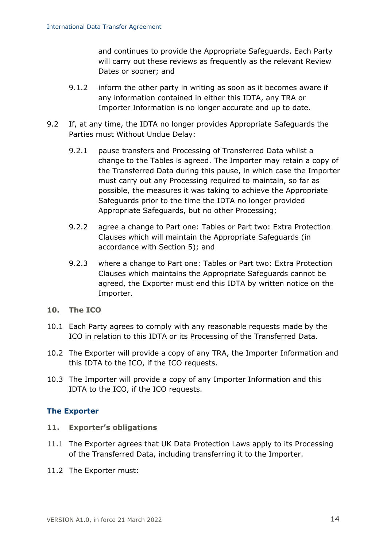and continues to provide the Appropriate Safeguards. Each Party will carry out these reviews as frequently as the relevant Review Dates or sooner; and

- 9.1.2 inform the other party in writing as soon as it becomes aware if any information contained in either this IDTA, any TRA or Importer Information is no longer accurate and up to date.
- <span id="page-13-0"></span>9.2 If, at any time, the IDTA no longer provides Appropriate Safeguards the Parties must Without Undue Delay:
	- 9.2.1 pause transfers and Processing of Transferred Data whilst a change to the Tables is agreed. The Importer may retain a copy of the Transferred Data during this pause, in which case the Importer must carry out any Processing required to maintain, so far as possible, the measures it was taking to achieve the Appropriate Safeguards prior to the time the IDTA no longer provided Appropriate Safeguards, but no other Processing;
	- 9.2.2 agree a change to Part one: Tables or Part two: Extra Protection Clauses which will maintain the Appropriate Safeguards (in accordance with Section [5\)](#page-8-0); and
	- 9.2.3 where a change to Part one: Tables or Part two: Extra Protection Clauses which maintains the Appropriate Safeguards cannot be agreed, the Exporter must end this IDTA by written notice on the Importer.
- <span id="page-13-1"></span>**10. The ICO**
- 10.1 Each Party agrees to comply with any reasonable requests made by the ICO in relation to this IDTA or its Processing of the Transferred Data.
- 10.2 The Exporter will provide a copy of any TRA, the Importer Information and this IDTA to the ICO, if the ICO requests.
- 10.3 The Importer will provide a copy of any Importer Information and this IDTA to the ICO, if the ICO requests.

#### **The Exporter**

- <span id="page-13-3"></span>**11. Exporter's obligations**
- <span id="page-13-4"></span><span id="page-13-2"></span>11.1 The Exporter agrees that UK Data Protection Laws apply to its Processing of the Transferred Data, including transferring it to the Importer.
- <span id="page-13-5"></span>11.2 The Exporter must: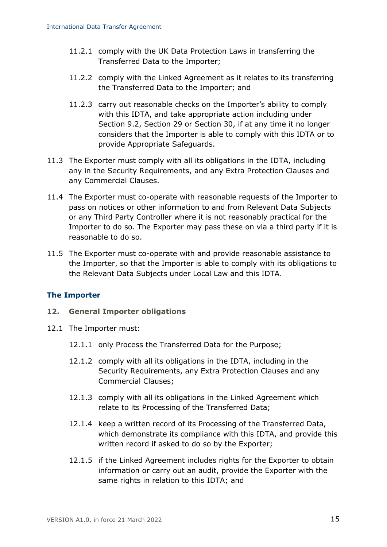- 11.2.1 comply with the UK Data Protection Laws in transferring the Transferred Data to the Importer;
- 11.2.2 comply with the Linked Agreement as it relates to its transferring the Transferred Data to the Importer; and
- 11.2.3 carry out reasonable checks on the Importer's ability to comply with this IDTA, and take appropriate action including under Section [9.2,](#page-13-0) Section [29](#page-25-0) or Section [30,](#page-26-0) if at any time it no longer considers that the Importer is able to comply with this IDTA or to provide Appropriate Safeguards.
- 11.3 The Exporter must comply with all its obligations in the IDTA, including any in the Security Requirements, and any Extra Protection Clauses and any Commercial Clauses.
- <span id="page-14-1"></span>11.4 The Exporter must co-operate with reasonable requests of the Importer to pass on notices or other information to and from Relevant Data Subjects or any Third Party Controller where it is not reasonably practical for the Importer to do so. The Exporter may pass these on via a third party if it is reasonable to do so.
- 11.5 The Exporter must co-operate with and provide reasonable assistance to the Importer, so that the Importer is able to comply with its obligations to the Relevant Data Subjects under Local Law and this IDTA.

### **The Importer**

- <span id="page-14-6"></span>**12. General Importer obligations**
- <span id="page-14-5"></span><span id="page-14-4"></span><span id="page-14-3"></span><span id="page-14-2"></span><span id="page-14-0"></span>12.1 The Importer must:
	- 12.1.1 only Process the Transferred Data for the Purpose;
	- 12.1.2 comply with all its obligations in the IDTA, including in the Security Requirements, any Extra Protection Clauses and any Commercial Clauses;
	- 12.1.3 comply with all its obligations in the Linked Agreement which relate to its Processing of the Transferred Data;
	- 12.1.4 keep a written record of its Processing of the Transferred Data, which demonstrate its compliance with this IDTA, and provide this written record if asked to do so by the Exporter;
	- 12.1.5 if the Linked Agreement includes rights for the Exporter to obtain information or carry out an audit, provide the Exporter with the same rights in relation to this IDTA; and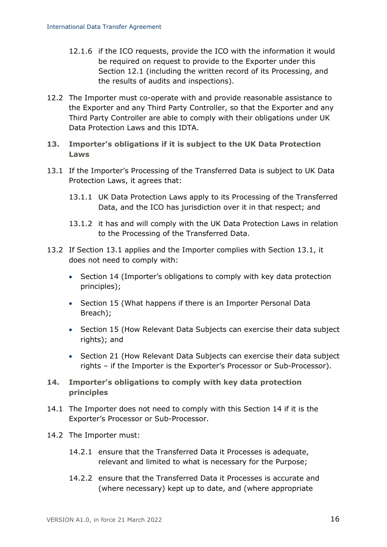- <span id="page-15-2"></span>12.1.6 if the ICO requests, provide the ICO with the information it would be required on request to provide to the Exporter under this Section [12.1](#page-14-0) (including the written record of its Processing, and the results of audits and inspections).
- 12.2 The Importer must co-operate with and provide reasonable assistance to the Exporter and any Third Party Controller, so that the Exporter and any Third Party Controller are able to comply with their obligations under UK Data Protection Laws and this IDTA.
- <span id="page-15-3"></span>**13. Importer's obligations if it is subject to the UK Data Protection Laws**
- <span id="page-15-0"></span>13.1 If the Importer's Processing of the Transferred Data is subject to UK Data Protection Laws, it agrees that:
	- 13.1.1 UK Data Protection Laws apply to its Processing of the Transferred Data, and the ICO has jurisdiction over it in that respect; and
	- 13.1.2 it has and will comply with the UK Data Protection Laws in relation to the Processing of the Transferred Data.
- 13.2 If Section [13.1](#page-15-0) applies and the Importer complies with Section [13.1,](#page-15-0) it does not need to comply with:
	- Section [14](#page-15-1) (Importer's obligations to comply with key data protection principles);
	- Section [15](#page-16-0) (What happens if there is an Importer Personal Data Breach);
	- Section [15](#page-16-0) (How Relevant Data Subjects can exercise their data subject rights); and
	- Section [21](#page-21-0) (How Relevant Data Subjects can exercise their data subject rights – if the Importer is the Exporter's Processor or Sub-Processor).
- <span id="page-15-1"></span>**14. Importer's obligations to comply with key data protection principles**
- 14.1 The Importer does not need to comply with this Section [14](#page-15-1) if it is the Exporter's Processor or Sub-Processor.
- 14.2 The Importer must:
	- 14.2.1 ensure that the Transferred Data it Processes is adequate, relevant and limited to what is necessary for the Purpose;
	- 14.2.2 ensure that the Transferred Data it Processes is accurate and (where necessary) kept up to date, and (where appropriate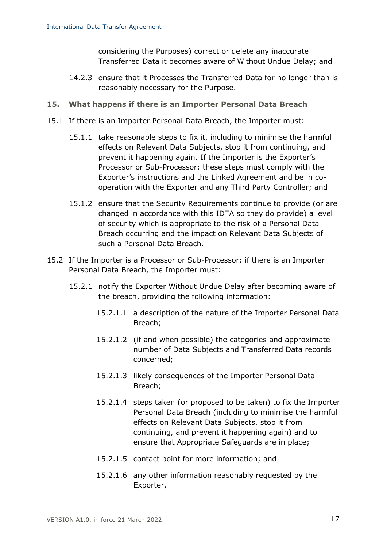considering the Purposes) correct or delete any inaccurate Transferred Data it becomes aware of Without Undue Delay; and

- 14.2.3 ensure that it Processes the Transferred Data for no longer than is reasonably necessary for the Purpose.
- <span id="page-16-0"></span>**15. What happens if there is an Importer Personal Data Breach**
- 15.1 If there is an Importer Personal Data Breach, the Importer must:
	- 15.1.1 take reasonable steps to fix it, including to minimise the harmful effects on Relevant Data Subjects, stop it from continuing, and prevent it happening again. If the Importer is the Exporter's Processor or Sub-Processor: these steps must comply with the Exporter's instructions and the Linked Agreement and be in cooperation with the Exporter and any Third Party Controller; and
	- 15.1.2 ensure that the Security Requirements continue to provide (or are changed in accordance with this IDTA so they do provide) a level of security which is appropriate to the risk of a Personal Data Breach occurring and the impact on Relevant Data Subjects of such a Personal Data Breach.
- 15.2 If the Importer is a Processor or Sub-Processor: if there is an Importer Personal Data Breach, the Importer must:
	- 15.2.1 notify the Exporter Without Undue Delay after becoming aware of the breach, providing the following information:
		- 15.2.1.1 a description of the nature of the Importer Personal Data Breach;
		- 15.2.1.2 (if and when possible) the categories and approximate number of Data Subjects and Transferred Data records concerned;
		- 15.2.1.3 likely consequences of the Importer Personal Data Breach;
		- 15.2.1.4 steps taken (or proposed to be taken) to fix the Importer Personal Data Breach (including to minimise the harmful effects on Relevant Data Subjects, stop it from continuing, and prevent it happening again) and to ensure that Appropriate Safeguards are in place;
		- 15.2.1.5 contact point for more information; and
		- 15.2.1.6 any other information reasonably requested by the Exporter,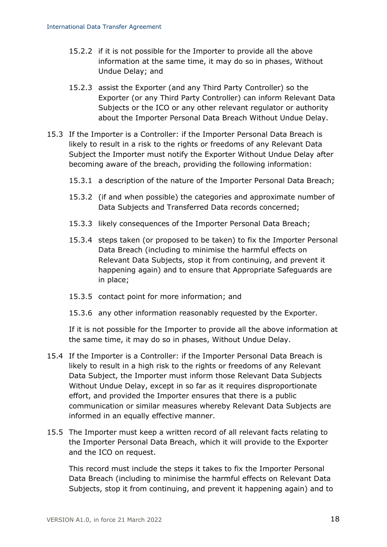- 15.2.2 if it is not possible for the Importer to provide all the above information at the same time, it may do so in phases, Without Undue Delay; and
- 15.2.3 assist the Exporter (and any Third Party Controller) so the Exporter (or any Third Party Controller) can inform Relevant Data Subjects or the ICO or any other relevant regulator or authority about the Importer Personal Data Breach Without Undue Delay.
- 15.3 If the Importer is a Controller: if the Importer Personal Data Breach is likely to result in a risk to the rights or freedoms of any Relevant Data Subject the Importer must notify the Exporter Without Undue Delay after becoming aware of the breach, providing the following information:
	- 15.3.1 a description of the nature of the Importer Personal Data Breach;
	- 15.3.2 (if and when possible) the categories and approximate number of Data Subjects and Transferred Data records concerned;
	- 15.3.3 likely consequences of the Importer Personal Data Breach;
	- 15.3.4 steps taken (or proposed to be taken) to fix the Importer Personal Data Breach (including to minimise the harmful effects on Relevant Data Subjects, stop it from continuing, and prevent it happening again) and to ensure that Appropriate Safeguards are in place;
	- 15.3.5 contact point for more information; and
	- 15.3.6 any other information reasonably requested by the Exporter.

If it is not possible for the Importer to provide all the above information at the same time, it may do so in phases, Without Undue Delay.

- 15.4 If the Importer is a Controller: if the Importer Personal Data Breach is likely to result in a high risk to the rights or freedoms of any Relevant Data Subject, the Importer must inform those Relevant Data Subjects Without Undue Delay, except in so far as it requires disproportionate effort, and provided the Importer ensures that there is a public communication or similar measures whereby Relevant Data Subjects are informed in an equally effective manner.
- 15.5 The Importer must keep a written record of all relevant facts relating to the Importer Personal Data Breach, which it will provide to the Exporter and the ICO on request.

This record must include the steps it takes to fix the Importer Personal Data Breach (including to minimise the harmful effects on Relevant Data Subjects, stop it from continuing, and prevent it happening again) and to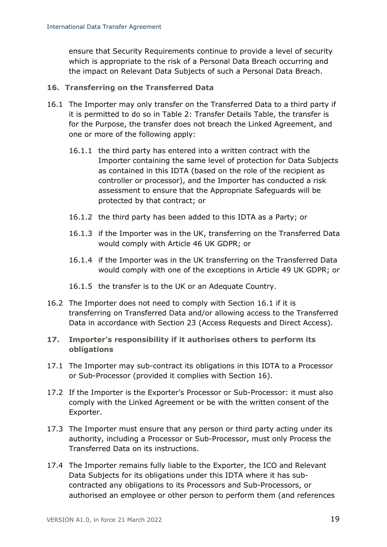ensure that Security Requirements continue to provide a level of security which is appropriate to the risk of a Personal Data Breach occurring and the impact on Relevant Data Subjects of such a Personal Data Breach.

### <span id="page-18-1"></span>**16. Transferring on the Transferred Data**

- <span id="page-18-0"></span>16.1 The Importer may only transfer on the Transferred Data to a third party if it is permitted to do so in Table 2: Transfer Details Table, the transfer is for the Purpose, the transfer does not breach the Linked Agreement, and one or more of the following apply:
	- 16.1.1 the third party has entered into a written contract with the Importer containing the same level of protection for Data Subjects as contained in this IDTA (based on the role of the recipient as controller or processor), and the Importer has conducted a risk assessment to ensure that the Appropriate Safeguards will be protected by that contract; or
	- 16.1.2 the third party has been added to this IDTA as a Party; or
	- 16.1.3 if the Importer was in the UK, transferring on the Transferred Data would comply with Article 46 UK GDPR; or
	- 16.1.4 if the Importer was in the UK transferring on the Transferred Data would comply with one of the exceptions in Article 49 UK GDPR; or
	- 16.1.5 the transfer is to the UK or an Adequate Country.
- 16.2 The Importer does not need to comply with Section [16.1](#page-18-0) if it is transferring on Transferred Data and/or allowing access to the Transferred Data in accordance with Section [23](#page-22-0) (Access Requests and Direct Access).
- <span id="page-18-3"></span>**17. Importer's responsibility if it authorises others to perform its obligations**
- <span id="page-18-2"></span>17.1 The Importer may sub-contract its obligations in this IDTA to a Processor or Sub-Processor (provided it complies with Section [16\)](#page-18-1).
- 17.2 If the Importer is the Exporter's Processor or Sub-Processor: it must also comply with the Linked Agreement or be with the written consent of the Exporter.
- 17.3 The Importer must ensure that any person or third party acting under its authority, including a Processor or Sub-Processor, must only Process the Transferred Data on its instructions.
- 17.4 The Importer remains fully liable to the Exporter, the ICO and Relevant Data Subjects for its obligations under this IDTA where it has subcontracted any obligations to its Processors and Sub-Processors, or authorised an employee or other person to perform them (and references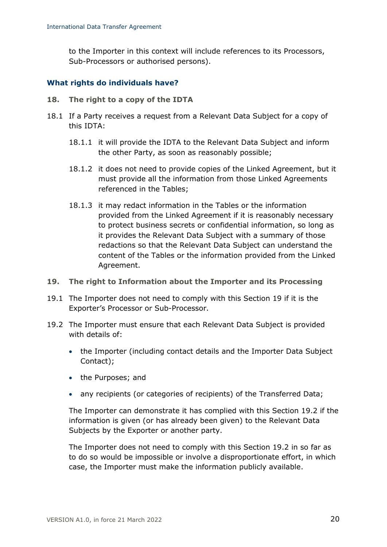to the Importer in this context will include references to its Processors, Sub-Processors or authorised persons).

#### **What rights do individuals have?**

- <span id="page-19-2"></span>**18. The right to a copy of the IDTA**
- 18.1 If a Party receives a request from a Relevant Data Subject for a copy of this IDTA:
	- 18.1.1 it will provide the IDTA to the Relevant Data Subject and inform the other Party, as soon as reasonably possible;
	- 18.1.2 it does not need to provide copies of the Linked Agreement, but it must provide all the information from those Linked Agreements referenced in the Tables;
	- 18.1.3 it may redact information in the Tables or the information provided from the Linked Agreement if it is reasonably necessary to protect business secrets or confidential information, so long as it provides the Relevant Data Subject with a summary of those redactions so that the Relevant Data Subject can understand the content of the Tables or the information provided from the Linked Agreement.
- <span id="page-19-0"></span>**19. The right to Information about the Importer and its Processing**
- 19.1 The Importer does not need to comply with this Section [19](#page-19-0) if it is the Exporter's Processor or Sub-Processor.
- <span id="page-19-1"></span>19.2 The Importer must ensure that each Relevant Data Subject is provided with details of:
	- the Importer (including contact details and the Importer Data Subject Contact);
	- the Purposes; and
	- any recipients (or categories of recipients) of the Transferred Data;

The Importer can demonstrate it has complied with this Section [19.2](#page-19-1) if the information is given (or has already been given) to the Relevant Data Subjects by the Exporter or another party.

The Importer does not need to comply with this Section [19.2](#page-19-1) in so far as to do so would be impossible or involve a disproportionate effort, in which case, the Importer must make the information publicly available.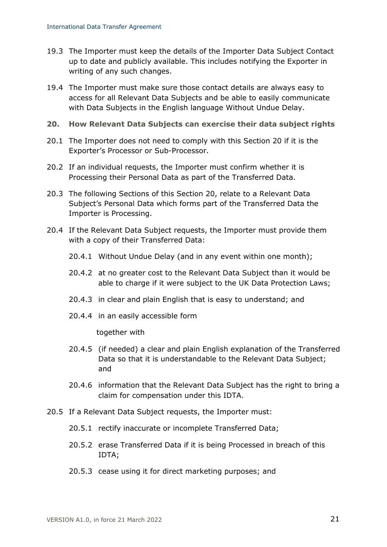- 19.3 The Importer must keep the details of the Importer Data Subject Contact up to date and publicly available. This includes notifying the Exporter in writing of any such changes.
- 19.4 The Importer must make sure those contact details are always easy to access for all Relevant Data Subjects and be able to easily communicate with Data Subjects in the English language Without Undue Delay.
- <span id="page-20-0"></span>**20. How Relevant Data Subjects can exercise their data subject rights**
- 20.1 The Importer does not need to comply with this Section [20](#page-20-0) if it is the Exporter's Processor or Sub-Processor.
- 20.2 If an individual requests, the Importer must confirm whether it is Processing their Personal Data as part of the Transferred Data.
- 20.3 The following Sections of this Section [20,](#page-20-0) relate to a Relevant Data Subject's Personal Data which forms part of the Transferred Data the Importer is Processing.
- 20.4 If the Relevant Data Subject requests, the Importer must provide them with a copy of their Transferred Data:
	- 20.4.1 Without Undue Delay (and in any event within one month);
	- 20.4.2 at no greater cost to the Relevant Data Subject than it would be able to charge if it were subject to the UK Data Protection Laws;
	- 20.4.3 in clear and plain English that is easy to understand; and
	- 20.4.4 in an easily accessible form

together with

- 20.4.5 (if needed) a clear and plain English explanation of the Transferred Data so that it is understandable to the Relevant Data Subject; and
- 20.4.6 information that the Relevant Data Subject has the right to bring a claim for compensation under this IDTA.
- 20.5 If a Relevant Data Subject requests, the Importer must:
	- 20.5.1 rectify inaccurate or incomplete Transferred Data;
	- 20.5.2 erase Transferred Data if it is being Processed in breach of this IDTA;
	- 20.5.3 cease using it for direct marketing purposes; and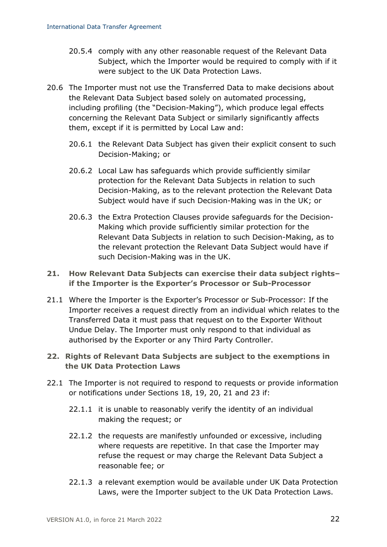- 20.5.4 comply with any other reasonable request of the Relevant Data Subject, which the Importer would be required to comply with if it were subject to the UK Data Protection Laws.
- <span id="page-21-2"></span>20.6 The Importer must not use the Transferred Data to make decisions about the Relevant Data Subject based solely on automated processing, including profiling (the "Decision-Making"), which produce legal effects concerning the Relevant Data Subject or similarly significantly affects them, except if it is permitted by Local Law and:
	- 20.6.1 the Relevant Data Subject has given their explicit consent to such Decision-Making; or
	- 20.6.2 Local Law has safeguards which provide sufficiently similar protection for the Relevant Data Subjects in relation to such Decision-Making, as to the relevant protection the Relevant Data Subject would have if such Decision-Making was in the UK; or
	- 20.6.3 the Extra Protection Clauses provide safeguards for the Decision-Making which provide sufficiently similar protection for the Relevant Data Subjects in relation to such Decision-Making, as to the relevant protection the Relevant Data Subject would have if such Decision-Making was in the UK.

### <span id="page-21-0"></span>**21. How Relevant Data Subjects can exercise their data subject rights– if the Importer is the Exporter's Processor or Sub-Processor**

21.1 Where the Importer is the Exporter's Processor or Sub-Processor: If the Importer receives a request directly from an individual which relates to the Transferred Data it must pass that request on to the Exporter Without Undue Delay. The Importer must only respond to that individual as authorised by the Exporter or any Third Party Controller.

### **22. Rights of Relevant Data Subjects are subject to the exemptions in the UK Data Protection Laws**

- <span id="page-21-1"></span>22.1 The Importer is not required to respond to requests or provide information or notifications under Sections [18,](#page-19-2) [19,](#page-19-0) [20,](#page-20-0) [21](#page-21-0) and [23](#page-22-0) if:
	- 22.1.1 it is unable to reasonably verify the identity of an individual making the request; or
	- 22.1.2 the requests are manifestly unfounded or excessive, including where requests are repetitive. In that case the Importer may refuse the request or may charge the Relevant Data Subject a reasonable fee; or
	- 22.1.3 a relevant exemption would be available under UK Data Protection Laws, were the Importer subject to the UK Data Protection Laws.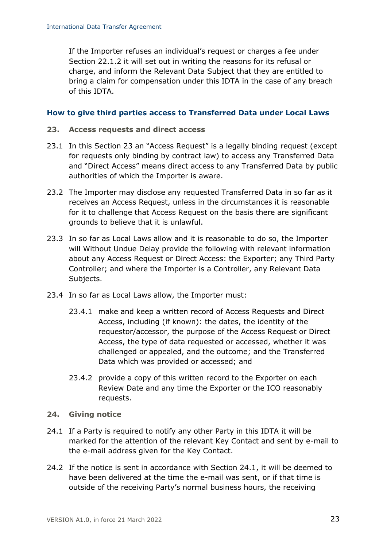If the Importer refuses an individual's request or charges a fee under Section [22.1.2](#page-21-1) it will set out in writing the reasons for its refusal or charge, and inform the Relevant Data Subject that they are entitled to bring a claim for compensation under this IDTA in the case of any breach of this IDTA.

#### **How to give third parties access to Transferred Data under Local Laws**

- <span id="page-22-0"></span>**23. Access requests and direct access**
- 23.1 In this Section [23](#page-22-0) an "Access Request" is a legally binding request (except for requests only binding by contract law) to access any Transferred Data and "Direct Access" means direct access to any Transferred Data by public authorities of which the Importer is aware.
- 23.2 The Importer may disclose any requested Transferred Data in so far as it receives an Access Request, unless in the circumstances it is reasonable for it to challenge that Access Request on the basis there are significant grounds to believe that it is unlawful.
- 23.3 In so far as Local Laws allow and it is reasonable to do so, the Importer will Without Undue Delay provide the following with relevant information about any Access Request or Direct Access: the Exporter; any Third Party Controller; and where the Importer is a Controller, any Relevant Data Subjects.
- 23.4 In so far as Local Laws allow, the Importer must:
	- 23.4.1 make and keep a written record of Access Requests and Direct Access, including (if known): the dates, the identity of the requestor/accessor, the purpose of the Access Request or Direct Access, the type of data requested or accessed, whether it was challenged or appealed, and the outcome; and the Transferred Data which was provided or accessed; and
	- 23.4.2 provide a copy of this written record to the Exporter on each Review Date and any time the Exporter or the ICO reasonably requests.
- <span id="page-22-2"></span>**24. Giving notice**
- <span id="page-22-1"></span>24.1 If a Party is required to notify any other Party in this IDTA it will be marked for the attention of the relevant Key Contact and sent by e-mail to the e-mail address given for the Key Contact.
- 24.2 If the notice is sent in accordance with Section [24.1,](#page-22-1) it will be deemed to have been delivered at the time the e-mail was sent, or if that time is outside of the receiving Party's normal business hours, the receiving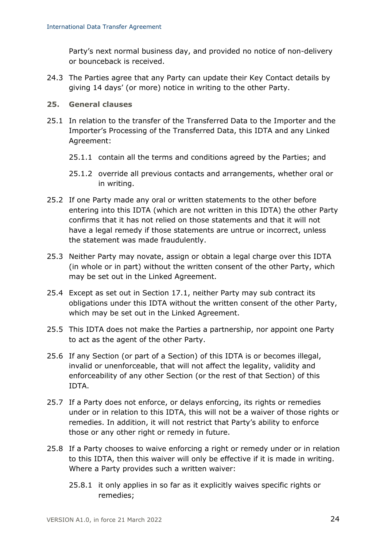Party's next normal business day, and provided no notice of non-delivery or bounceback is received.

- 24.3 The Parties agree that any Party can update their Key Contact details by giving 14 days' (or more) notice in writing to the other Party.
- <span id="page-23-0"></span>**25. General clauses**
- 25.1 In relation to the transfer of the Transferred Data to the Importer and the Importer's Processing of the Transferred Data, this IDTA and any Linked Agreement:
	- 25.1.1 contain all the terms and conditions agreed by the Parties; and
	- 25.1.2 override all previous contacts and arrangements, whether oral or in writing.
- 25.2 If one Party made any oral or written statements to the other before entering into this IDTA (which are not written in this IDTA) the other Party confirms that it has not relied on those statements and that it will not have a legal remedy if those statements are untrue or incorrect, unless the statement was made fraudulently.
- 25.3 Neither Party may novate, assign or obtain a legal charge over this IDTA (in whole or in part) without the written consent of the other Party, which may be set out in the Linked Agreement.
- 25.4 Except as set out in Section [17.1,](#page-18-2) neither Party may sub contract its obligations under this IDTA without the written consent of the other Party, which may be set out in the Linked Agreement.
- 25.5 This IDTA does not make the Parties a partnership, nor appoint one Party to act as the agent of the other Party.
- 25.6 If any Section (or part of a Section) of this IDTA is or becomes illegal, invalid or unenforceable, that will not affect the legality, validity and enforceability of any other Section (or the rest of that Section) of this IDTA.
- 25.7 If a Party does not enforce, or delays enforcing, its rights or remedies under or in relation to this IDTA, this will not be a waiver of those rights or remedies. In addition, it will not restrict that Party's ability to enforce those or any other right or remedy in future.
- 25.8 If a Party chooses to waive enforcing a right or remedy under or in relation to this IDTA, then this waiver will only be effective if it is made in writing. Where a Party provides such a written waiver:
	- 25.8.1 it only applies in so far as it explicitly waives specific rights or remedies;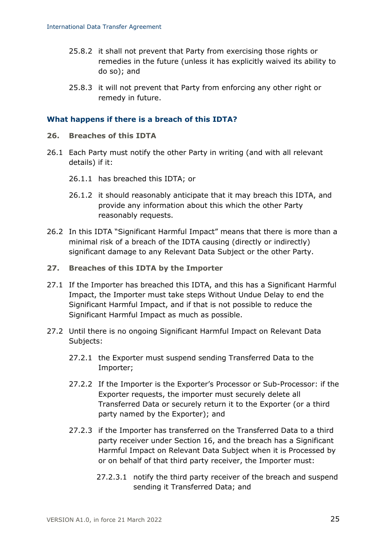- 25.8.2 it shall not prevent that Party from exercising those rights or remedies in the future (unless it has explicitly waived its ability to do so); and
- 25.8.3 it will not prevent that Party from enforcing any other right or remedy in future.

#### **What happens if there is a breach of this IDTA?**

- <span id="page-24-0"></span>**26. Breaches of this IDTA**
- 26.1 Each Party must notify the other Party in writing (and with all relevant details) if it:
	- 26.1.1 has breached this IDTA; or
	- 26.1.2 it should reasonably anticipate that it may breach this IDTA, and provide any information about this which the other Party reasonably requests.
- <span id="page-24-2"></span>26.2 In this IDTA "Significant Harmful Impact" means that there is more than a minimal risk of a breach of the IDTA causing (directly or indirectly) significant damage to any Relevant Data Subject or the other Party.
- <span id="page-24-1"></span>**27. Breaches of this IDTA by the Importer**
- 27.1 If the Importer has breached this IDTA, and this has a Significant Harmful Impact, the Importer must take steps Without Undue Delay to end the Significant Harmful Impact, and if that is not possible to reduce the Significant Harmful Impact as much as possible.
- 27.2 Until there is no ongoing Significant Harmful Impact on Relevant Data Subjects:
	- 27.2.1 the Exporter must suspend sending Transferred Data to the Importer;
	- 27.2.2 If the Importer is the Exporter's Processor or Sub-Processor: if the Exporter requests, the importer must securely delete all Transferred Data or securely return it to the Exporter (or a third party named by the Exporter); and
	- 27.2.3 if the Importer has transferred on the Transferred Data to a third party receiver under Section [16,](#page-18-1) and the breach has a Significant Harmful Impact on Relevant Data Subject when it is Processed by or on behalf of that third party receiver, the Importer must:
		- 27.2.3.1 notify the third party receiver of the breach and suspend sending it Transferred Data; and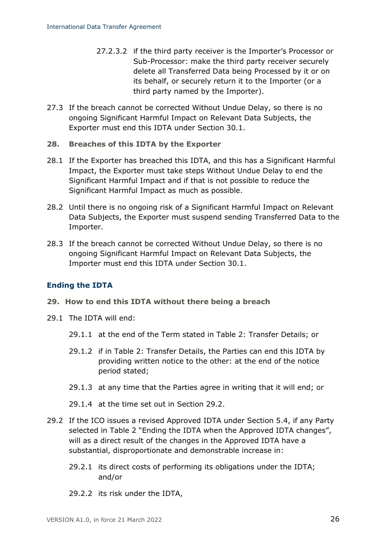- 27.2.3.2 if the third party receiver is the Importer's Processor or Sub-Processor: make the third party receiver securely delete all Transferred Data being Processed by it or on its behalf, or securely return it to the Importer (or a third party named by the Importer).
- 27.3 If the breach cannot be corrected Without Undue Delay, so there is no ongoing Significant Harmful Impact on Relevant Data Subjects, the Exporter must end this IDTA under Section [30.1.](#page-26-1)

#### <span id="page-25-2"></span>**28. Breaches of this IDTA by the Exporter**

- 28.1 If the Exporter has breached this IDTA, and this has a Significant Harmful Impact, the Exporter must take steps Without Undue Delay to end the Significant Harmful Impact and if that is not possible to reduce the Significant Harmful Impact as much as possible.
- 28.2 Until there is no ongoing risk of a Significant Harmful Impact on Relevant Data Subjects, the Exporter must suspend sending Transferred Data to the Importer.
- 28.3 If the breach cannot be corrected Without Undue Delay, so there is no ongoing Significant Harmful Impact on Relevant Data Subjects, the Importer must end this IDTA under Section [30.1.](#page-26-1)

#### **Ending the IDTA**

- <span id="page-25-0"></span>**29. How to end this IDTA without there being a breach**
- 29.1 The IDTA will end:
	- 29.1.1 at the end of the Term stated in Table 2: Transfer Details; or
	- 29.1.2 if in Table 2: Transfer Details, the Parties can end this IDTA by providing written notice to the other: at the end of the notice period stated;
	- 29.1.3 at any time that the Parties agree in writing that it will end; or
	- 29.1.4 at the time set out in Section [29.2.](#page-25-1)
- <span id="page-25-1"></span>29.2 If the ICO issues a revised Approved IDTA under Section [5.4,](#page-9-1) if any Party selected in Table 2 "Ending the IDTA when the Approved IDTA changes", will as a direct result of the changes in the Approved IDTA have a substantial, disproportionate and demonstrable increase in:
	- 29.2.1 its direct costs of performing its obligations under the IDTA; and/or
	- 29.2.2 its risk under the IDTA,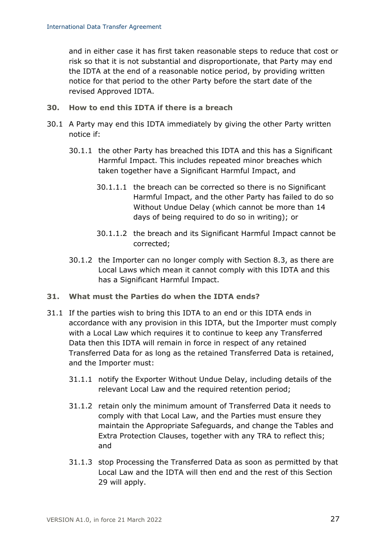and in either case it has first taken reasonable steps to reduce that cost or risk so that it is not substantial and disproportionate, that Party may end the IDTA at the end of a reasonable notice period, by providing written notice for that period to the other Party before the start date of the revised Approved IDTA.

- <span id="page-26-0"></span>**30. How to end this IDTA if there is a breach**
- <span id="page-26-1"></span>30.1 A Party may end this IDTA immediately by giving the other Party written notice if:
	- 30.1.1 the other Party has breached this IDTA and this has a Significant Harmful Impact. This includes repeated minor breaches which taken together have a Significant Harmful Impact, and
		- 30.1.1.1 the breach can be corrected so there is no Significant Harmful Impact, and the other Party has failed to do so Without Undue Delay (which cannot be more than 14 days of being required to do so in writing); or
		- 30.1.1.2 the breach and its Significant Harmful Impact cannot be corrected;
	- 30.1.2 the Importer can no longer comply with Section [8.3,](#page-12-0) as there are Local Laws which mean it cannot comply with this IDTA and this has a Significant Harmful Impact.

### <span id="page-26-2"></span>**31. What must the Parties do when the IDTA ends?**

- 31.1 If the parties wish to bring this IDTA to an end or this IDTA ends in accordance with any provision in this IDTA, but the Importer must comply with a Local Law which requires it to continue to keep any Transferred Data then this IDTA will remain in force in respect of any retained Transferred Data for as long as the retained Transferred Data is retained, and the Importer must:
	- 31.1.1 notify the Exporter Without Undue Delay, including details of the relevant Local Law and the required retention period;
	- 31.1.2 retain only the minimum amount of Transferred Data it needs to comply with that Local Law, and the Parties must ensure they maintain the Appropriate Safeguards, and change the Tables and Extra Protection Clauses, together with any TRA to reflect this; and
	- 31.1.3 stop Processing the Transferred Data as soon as permitted by that Local Law and the IDTA will then end and the rest of this Section [29](#page-25-0) will apply.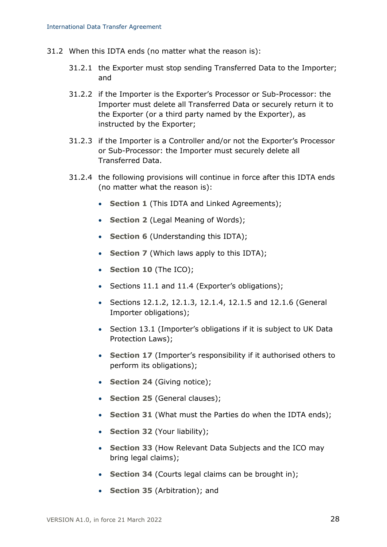- 31.2 When this IDTA ends (no matter what the reason is):
	- 31.2.1 the Exporter must stop sending Transferred Data to the Importer; and
	- 31.2.2 if the Importer is the Exporter's Processor or Sub-Processor: the Importer must delete all Transferred Data or securely return it to the Exporter (or a third party named by the Exporter), as instructed by the Exporter;
	- 31.2.3 if the Importer is a Controller and/or not the Exporter's Processor or Sub-Processor: the Importer must securely delete all Transferred Data.
	- 31.2.4 the following provisions will continue in force after this IDTA ends (no matter what the reason is):
		- **Section [1](#page-7-0)** (This IDTA and Linked Agreements);
		- **Section [2](#page-8-1)** (Legal Meaning of Words);
		- **Section [6](#page-10-0)** (Understanding this IDTA);
		- **Section [7](#page-11-0)** (Which laws apply to this IDTA);
		- **Section [10](#page-13-1)** (The ICO);
		- Sections [11.1](#page-13-2) and [11.4](#page-14-1) (Exporter's obligations);
		- Sections [12.1.2,](#page-14-2) [12.1.3,](#page-14-3) [12.1.4,](#page-14-4) [12.1.5](#page-14-5) and [12.1.6](#page-15-2) (General Importer obligations);
		- Section [13.1](#page-15-0) (Importer's obligations if it is subject to UK Data Protection Laws);
		- **Section [17](#page-18-3)** (Importer's responsibility if it authorised others to perform its obligations);
		- **Section [24](#page-22-2)** (Giving notice);
		- **Section [25](#page-23-0)** (General clauses);
		- **Section [31](#page-26-2)** (What must the Parties do when the IDTA ends);
		- **Section [32](#page-28-0)** (Your liability);
		- **Section [33](#page-28-1)** (How Relevant Data Subjects and the ICO may bring legal claims);
		- **Section [34](#page-30-1)** (Courts legal claims can be brought in);
		- **Section [35](#page-30-0)** (Arbitration); and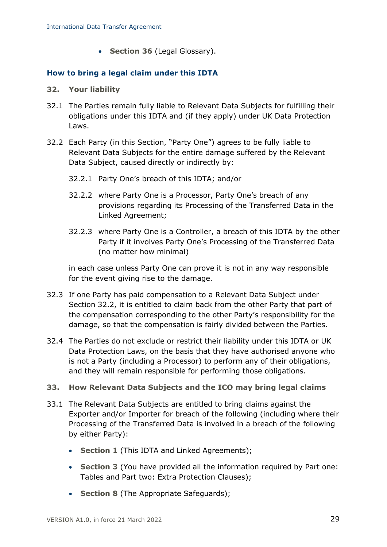• **Section [36](#page-31-0)** (Legal Glossary).

### **How to bring a legal claim under this IDTA**

- <span id="page-28-0"></span>**32. Your liability**
- 32.1 The Parties remain fully liable to Relevant Data Subjects for fulfilling their obligations under this IDTA and (if they apply) under UK Data Protection Laws.
- <span id="page-28-2"></span>32.2 Each Party (in this Section, "Party One") agrees to be fully liable to Relevant Data Subjects for the entire damage suffered by the Relevant Data Subject, caused directly or indirectly by:
	- 32.2.1 Party One's breach of this IDTA; and/or
	- 32.2.2 where Party One is a Processor, Party One's breach of any provisions regarding its Processing of the Transferred Data in the Linked Agreement;
	- 32.2.3 where Party One is a Controller, a breach of this IDTA by the other Party if it involves Party One's Processing of the Transferred Data (no matter how minimal)

in each case unless Party One can prove it is not in any way responsible for the event giving rise to the damage.

- 32.3 If one Party has paid compensation to a Relevant Data Subject under Section [32.2,](#page-28-2) it is entitled to claim back from the other Party that part of the compensation corresponding to the other Party's responsibility for the damage, so that the compensation is fairly divided between the Parties.
- 32.4 The Parties do not exclude or restrict their liability under this IDTA or UK Data Protection Laws, on the basis that they have authorised anyone who is not a Party (including a Processor) to perform any of their obligations, and they will remain responsible for performing those obligations.

#### <span id="page-28-1"></span>**33. How Relevant Data Subjects and the ICO may bring legal claims**

- 33.1 The Relevant Data Subjects are entitled to bring claims against the Exporter and/or Importer for breach of the following (including where their Processing of the Transferred Data is involved in a breach of the following by either Party):
	- **Section [1](#page-7-0)** (This IDTA and Linked Agreements);
	- **Section [3](#page-8-2)** (You have provided all the information required by Part one: Tables and Part two: Extra Protection Clauses);
	- **Section [8](#page-11-1)** (The Appropriate Safeguards);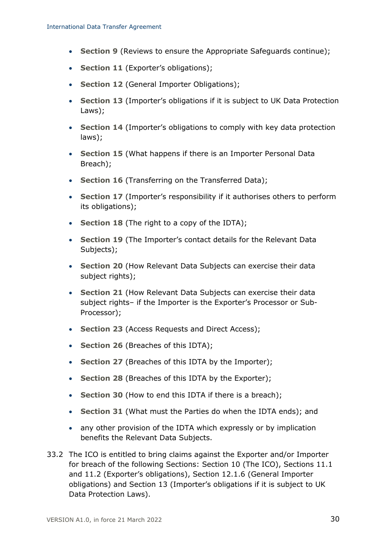- **Section [9](#page-12-1)** (Reviews to ensure the Appropriate Safeguards continue);
- **Section [11](#page-13-3)** (Exporter's obligations);
- **Section [12](#page-14-6)** (General Importer Obligations);
- **Section [13](#page-15-3)** (Importer's obligations if it is subject to UK Data Protection Laws);
- **Section [14](#page-15-1)** (Importer's obligations to comply with key data protection laws);
- **Section [15](#page-16-0)** (What happens if there is an Importer Personal Data Breach);
- **Section [16](#page-18-1)** (Transferring on the Transferred Data);
- **Section [17](#page-18-3)** (Importer's responsibility if it authorises others to perform its obligations);
- **Section [18](#page-19-2)** (The right to a copy of the IDTA);
- **Section [19](#page-19-0)** (The Importer's contact details for the Relevant Data Subjects);
- **Section [20](#page-20-0)** (How Relevant Data Subjects can exercise their data subject rights);
- **Section [21](#page-21-0)** (How Relevant Data Subjects can exercise their data subject rights– if the Importer is the Exporter's Processor or Sub-Processor);
- **Section [23](#page-22-0)** (Access Requests and Direct Access);
- **Section [26](#page-24-0)** (Breaches of this IDTA);
- **Section [27](#page-24-1)** (Breaches of this IDTA by the Importer);
- **Section [28](#page-25-2)** (Breaches of this IDTA by the Exporter);
- **Section [30](#page-26-0)** (How to end this IDTA if there is a breach);
- **Section [31](#page-26-2)** (What must the Parties do when the IDTA ends); and
- any other provision of the IDTA which expressly or by implication benefits the Relevant Data Subjects.
- 33.2 The ICO is entitled to bring claims against the Exporter and/or Importer for breach of the following Sections: Section [10](#page-13-1) (The ICO), Sections [11.1](#page-13-4) and [11.2](#page-13-5) (Exporter's obligations), Section [12.1.6](#page-15-2) (General Importer obligations) and Section [13](#page-15-3) (Importer's obligations if it is subject to UK Data Protection Laws).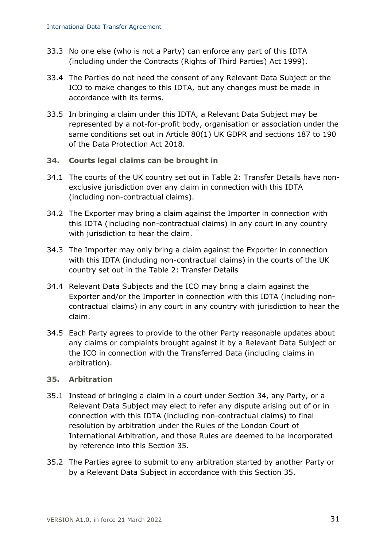- 33.3 No one else (who is not a Party) can enforce any part of this IDTA (including under the Contracts (Rights of Third Parties) Act 1999).
- 33.4 The Parties do not need the consent of any Relevant Data Subject or the ICO to make changes to this IDTA, but any changes must be made in accordance with its terms.
- 33.5 In bringing a claim under this IDTA, a Relevant Data Subject may be represented by a not-for-profit body, organisation or association under the same conditions set out in Article 80(1) UK GDPR and sections 187 to 190 of the Data Protection Act 2018.
- <span id="page-30-1"></span>**34. Courts legal claims can be brought in**
- 34.1 The courts of the UK country set out in Table 2: Transfer Details have nonexclusive jurisdiction over any claim in connection with this IDTA (including non-contractual claims).
- 34.2 The Exporter may bring a claim against the Importer in connection with this IDTA (including non-contractual claims) in any court in any country with jurisdiction to hear the claim.
- 34.3 The Importer may only bring a claim against the Exporter in connection with this IDTA (including non-contractual claims) in the courts of the UK country set out in the Table 2: Transfer Details
- 34.4 Relevant Data Subjects and the ICO may bring a claim against the Exporter and/or the Importer in connection with this IDTA (including noncontractual claims) in any court in any country with jurisdiction to hear the claim.
- 34.5 Each Party agrees to provide to the other Party reasonable updates about any claims or complaints brought against it by a Relevant Data Subject or the ICO in connection with the Transferred Data (including claims in arbitration).

#### <span id="page-30-0"></span>**35. Arbitration**

- 35.1 Instead of bringing a claim in a court under Section [34,](#page-30-1) any Party, or a Relevant Data Subject may elect to refer any dispute arising out of or in connection with this IDTA (including non-contractual claims) to final resolution by arbitration under the Rules of the London Court of International Arbitration, and those Rules are deemed to be incorporated by reference into this Section [35.](#page-30-0)
- 35.2 The Parties agree to submit to any arbitration started by another Party or by a Relevant Data Subject in accordance with this Section [35.](#page-30-0)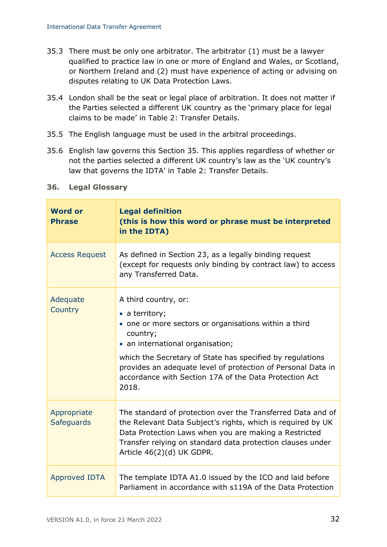- 35.3 There must be only one arbitrator. The arbitrator (1) must be a lawyer qualified to practice law in one or more of England and Wales, or Scotland, or Northern Ireland and (2) must have experience of acting or advising on disputes relating to UK Data Protection Laws.
- 35.4 London shall be the seat or legal place of arbitration. It does not matter if the Parties selected a different UK country as the 'primary place for legal claims to be made' in Table 2: Transfer Details.
- 35.5 The English language must be used in the arbitral proceedings.
- 35.6 English law governs this Section [35.](#page-30-0) This applies regardless of whether or not the parties selected a different UK country's law as the 'UK country's law that governs the IDTA' in Table 2: Transfer Details.

| <b>Word or</b><br><b>Phrase</b>  | <b>Legal definition</b><br>(this is how this word or phrase must be interpreted<br>in the IDTA)                                                                                                                                                                                                                                                         |
|----------------------------------|---------------------------------------------------------------------------------------------------------------------------------------------------------------------------------------------------------------------------------------------------------------------------------------------------------------------------------------------------------|
| <b>Access Request</b>            | As defined in Section 23, as a legally binding request<br>(except for requests only binding by contract law) to access<br>any Transferred Data.                                                                                                                                                                                                         |
| Adequate<br>Country              | A third country, or:<br>$\bullet$ a territory;<br>• one or more sectors or organisations within a third<br>country;<br>• an international organisation;<br>which the Secretary of State has specified by regulations<br>provides an adequate level of protection of Personal Data in<br>accordance with Section 17A of the Data Protection Act<br>2018. |
| Appropriate<br><b>Safeguards</b> | The standard of protection over the Transferred Data and of<br>the Relevant Data Subject's rights, which is required by UK<br>Data Protection Laws when you are making a Restricted<br>Transfer relying on standard data protection clauses under<br>Article 46(2)(d) UK GDPR.                                                                          |
| <b>Approved IDTA</b>             | The template IDTA A1.0 issued by the ICO and laid before<br>Parliament in accordance with s119A of the Data Protection                                                                                                                                                                                                                                  |

### <span id="page-31-0"></span>**36. Legal Glossary**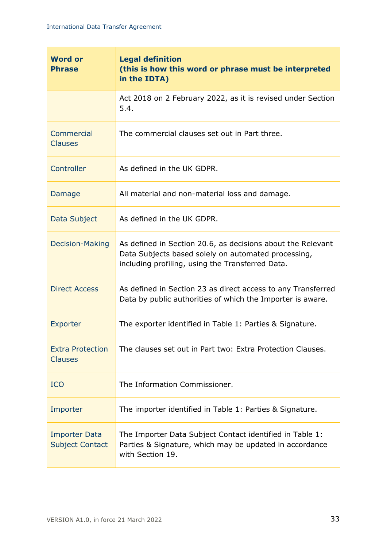| <b>Word or</b><br><b>Phrase</b>                | <b>Legal definition</b><br>(this is how this word or phrase must be interpreted<br>in the IDTA)                                                                        |
|------------------------------------------------|------------------------------------------------------------------------------------------------------------------------------------------------------------------------|
|                                                | Act 2018 on 2 February 2022, as it is revised under Section<br>5.4.                                                                                                    |
| Commercial<br><b>Clauses</b>                   | The commercial clauses set out in Part three.                                                                                                                          |
| Controller                                     | As defined in the UK GDPR.                                                                                                                                             |
| Damage                                         | All material and non-material loss and damage.                                                                                                                         |
| Data Subject                                   | As defined in the UK GDPR.                                                                                                                                             |
| <b>Decision-Making</b>                         | As defined in Section 20.6, as decisions about the Relevant<br>Data Subjects based solely on automated processing,<br>including profiling, using the Transferred Data. |
| <b>Direct Access</b>                           | As defined in Section 23 as direct access to any Transferred<br>Data by public authorities of which the Importer is aware.                                             |
| Exporter                                       | The exporter identified in Table 1: Parties & Signature.                                                                                                               |
| <b>Extra Protection</b><br><b>Clauses</b>      | The clauses set out in Part two: Extra Protection Clauses.                                                                                                             |
| <b>ICO</b>                                     | The Information Commissioner.                                                                                                                                          |
| Importer                                       | The importer identified in Table 1: Parties & Signature.                                                                                                               |
| <b>Importer Data</b><br><b>Subject Contact</b> | The Importer Data Subject Contact identified in Table 1:<br>Parties & Signature, which may be updated in accordance<br>with Section 19.                                |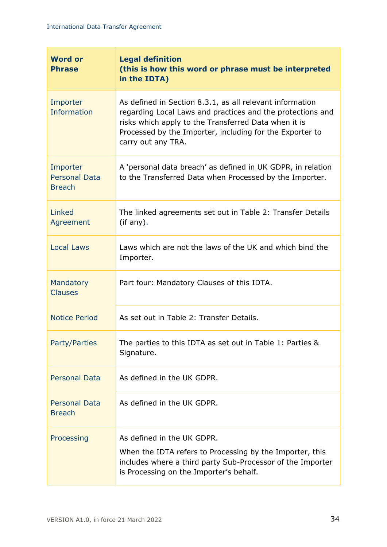| <b>Word or</b><br><b>Phrase</b>                   | <b>Legal definition</b><br>(this is how this word or phrase must be interpreted<br>in the IDTA)                                                                                                                                                                  |
|---------------------------------------------------|------------------------------------------------------------------------------------------------------------------------------------------------------------------------------------------------------------------------------------------------------------------|
| Importer<br><b>Information</b>                    | As defined in Section 8.3.1, as all relevant information<br>regarding Local Laws and practices and the protections and<br>risks which apply to the Transferred Data when it is<br>Processed by the Importer, including for the Exporter to<br>carry out any TRA. |
| Importer<br><b>Personal Data</b><br><b>Breach</b> | A 'personal data breach' as defined in UK GDPR, in relation<br>to the Transferred Data when Processed by the Importer.                                                                                                                                           |
| Linked<br>Agreement                               | The linked agreements set out in Table 2: Transfer Details<br>(if any).                                                                                                                                                                                          |
| <b>Local Laws</b>                                 | Laws which are not the laws of the UK and which bind the<br>Importer.                                                                                                                                                                                            |
| Mandatory<br><b>Clauses</b>                       | Part four: Mandatory Clauses of this IDTA.                                                                                                                                                                                                                       |
| <b>Notice Period</b>                              | As set out in Table 2: Transfer Details.                                                                                                                                                                                                                         |
| Party/Parties                                     | The parties to this IDTA as set out in Table 1: Parties &<br>Signature.                                                                                                                                                                                          |
| <b>Personal Data</b>                              | As defined in the UK GDPR.                                                                                                                                                                                                                                       |
| <b>Personal Data</b><br><b>Breach</b>             | As defined in the UK GDPR.                                                                                                                                                                                                                                       |
| Processing                                        | As defined in the UK GDPR.<br>When the IDTA refers to Processing by the Importer, this<br>includes where a third party Sub-Processor of the Importer<br>is Processing on the Importer's behalf.                                                                  |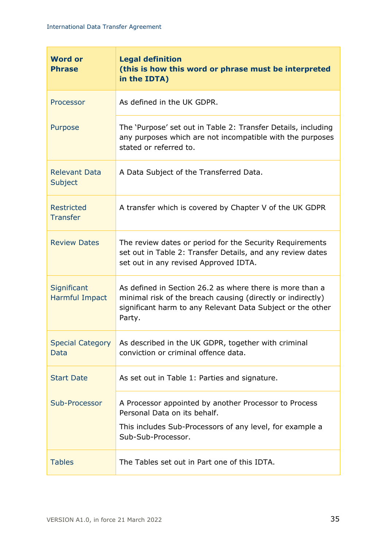| <b>Word or</b><br><b>Phrase</b>        | <b>Legal definition</b><br>(this is how this word or phrase must be interpreted<br>in the IDTA)                                                                                                 |
|----------------------------------------|-------------------------------------------------------------------------------------------------------------------------------------------------------------------------------------------------|
| Processor                              | As defined in the UK GDPR.                                                                                                                                                                      |
| Purpose                                | The 'Purpose' set out in Table 2: Transfer Details, including<br>any purposes which are not incompatible with the purposes<br>stated or referred to.                                            |
| <b>Relevant Data</b><br>Subject        | A Data Subject of the Transferred Data.                                                                                                                                                         |
| <b>Restricted</b><br><b>Transfer</b>   | A transfer which is covered by Chapter V of the UK GDPR                                                                                                                                         |
| <b>Review Dates</b>                    | The review dates or period for the Security Requirements<br>set out in Table 2: Transfer Details, and any review dates<br>set out in any revised Approved IDTA.                                 |
| Significant<br>Harmful Impact          | As defined in Section 26.2 as where there is more than a<br>minimal risk of the breach causing (directly or indirectly)<br>significant harm to any Relevant Data Subject or the other<br>Party. |
| <b>Special Category</b><br><b>Data</b> | As described in the UK GDPR, together with criminal<br>conviction or criminal offence data.                                                                                                     |
| <b>Start Date</b>                      | As set out in Table 1: Parties and signature.                                                                                                                                                   |
| Sub-Processor                          | A Processor appointed by another Processor to Process<br>Personal Data on its behalf.<br>This includes Sub-Processors of any level, for example a<br>Sub-Sub-Processor.                         |
| <b>Tables</b>                          | The Tables set out in Part one of this IDTA.                                                                                                                                                    |